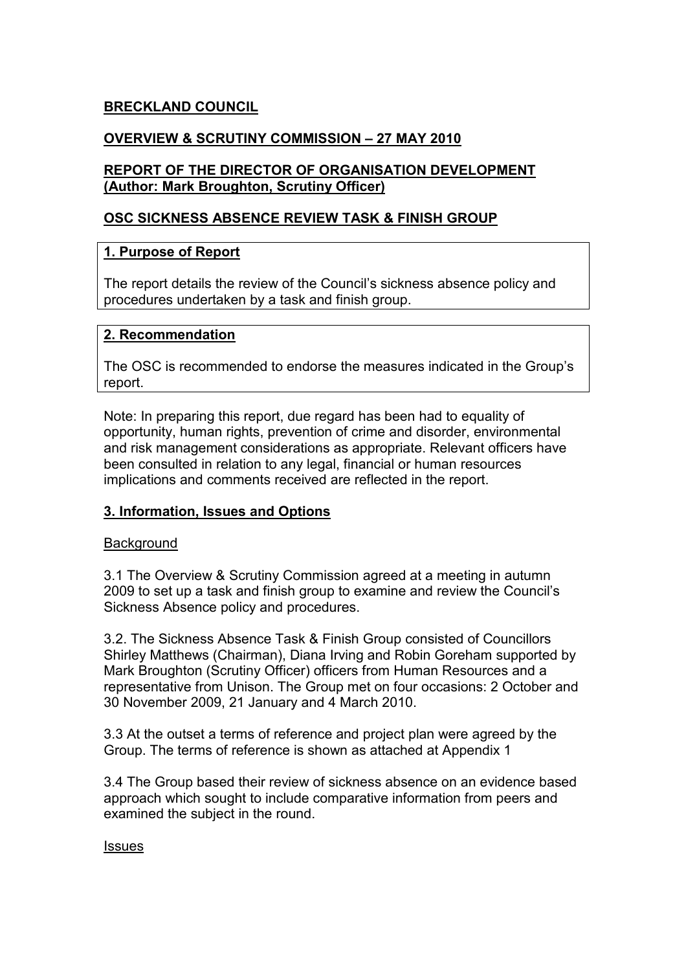### BRECKLAND COUNCIL

## OVERVIEW & SCRUTINY COMMISSION – 27 MAY 2010

#### REPORT OF THE DIRECTOR OF ORGANISATION DEVELOPMENT (Author: Mark Broughton, Scrutiny Officer)

#### OSC SICKNESS ABSENCE REVIEW TASK & FINISH GROUP

#### 1. Purpose of Report

The report details the review of the Council's sickness absence policy and procedures undertaken by a task and finish group.

#### 2. Recommendation

The OSC is recommended to endorse the measures indicated in the Group's report.

Note: In preparing this report, due regard has been had to equality of opportunity, human rights, prevention of crime and disorder, environmental and risk management considerations as appropriate. Relevant officers have been consulted in relation to any legal, financial or human resources implications and comments received are reflected in the report.

#### 3. Information, Issues and Options

#### **Background**

3.1 The Overview & Scrutiny Commission agreed at a meeting in autumn 2009 to set up a task and finish group to examine and review the Council's Sickness Absence policy and procedures.

3.2. The Sickness Absence Task & Finish Group consisted of Councillors Shirley Matthews (Chairman), Diana Irving and Robin Goreham supported by Mark Broughton (Scrutiny Officer) officers from Human Resources and a representative from Unison. The Group met on four occasions: 2 October and 30 November 2009, 21 January and 4 March 2010.

3.3 At the outset a terms of reference and project plan were agreed by the Group. The terms of reference is shown as attached at Appendix 1

3.4 The Group based their review of sickness absence on an evidence based approach which sought to include comparative information from peers and examined the subject in the round.

#### **Issues**